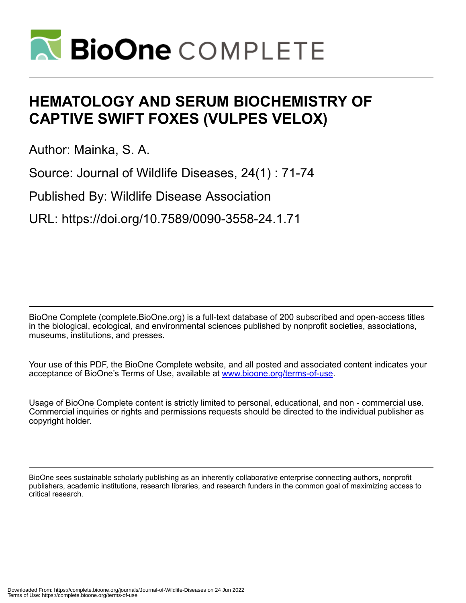

# **HEMATOLOGY AND SERUM BIOCHEMISTRY OF CAPTIVE SWIFT FOXES (VULPES VELOX)**

Author: Mainka, S. A.

Source: Journal of Wildlife Diseases, 24(1) : 71-74

Published By: Wildlife Disease Association

URL: https://doi.org/10.7589/0090-3558-24.1.71

BioOne Complete (complete.BioOne.org) is a full-text database of 200 subscribed and open-access titles in the biological, ecological, and environmental sciences published by nonprofit societies, associations, museums, institutions, and presses.

Your use of this PDF, the BioOne Complete website, and all posted and associated content indicates your acceptance of BioOne's Terms of Use, available at www.bioone.org/terms-of-use.

Usage of BioOne Complete content is strictly limited to personal, educational, and non - commercial use. Commercial inquiries or rights and permissions requests should be directed to the individual publisher as copyright holder.

BioOne sees sustainable scholarly publishing as an inherently collaborative enterprise connecting authors, nonprofit publishers, academic institutions, research libraries, and research funders in the common goal of maximizing access to critical research.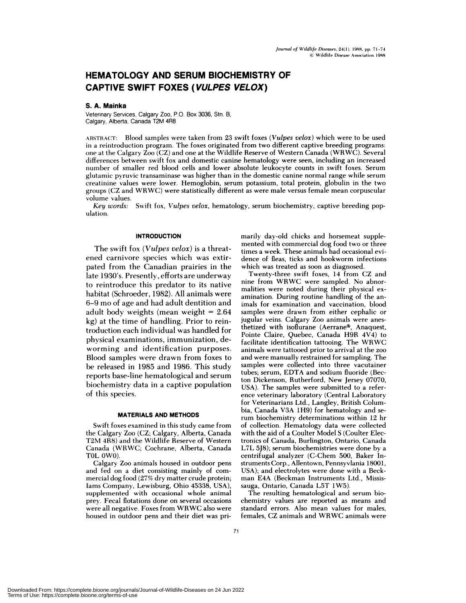# **HEMATOLOGY AND SERUM BIOCHEMISTRY OF CAPTIVE SWIFT FOXES (VULPES VELOX)**

# S. A. Mainka

Veterinary Services, Calgary Zoo, P.O. Box 3036, SIn. B, Calgary, Alberta, Canada T2M 4R8

ABSTRACT: Blood samples were taken from 23 swift foxes *(Vulpes velox)* which were to be used in a reintroduction program. The foxes originated from two different captive breeding programs: one at the Calgary Zoo (CZ) and one at the Wildlife Reserve of Western Canada (WRWC). Several differences between swift fox and domestic canine hematology were seen, including an increased number of smaller red blood cells and lower absolute leukocyte counts in swift foxes. Serum glutamic pyruvic transaminase was higher than in the domestic canine normal range while serum creatinine values were lower. Hemoglobin, serum potassium, total protein, globulin in the two groups (CZ and WRWC) were statistically different as were male versus female mean corpuscular volume values.

*Key words:* Swift fox, *Vulpes velox,* hematology, serum biochemistry, captive breeding pop **ulation.**

#### **INTRODUCTION**

The swift fox *(Vulpes velox)* is a threatened carnivore species which was extirpated from the Canadian prairies in the late 1930's. Presently, efforts are underway to reintroduce this predator to its native habitat (Schroeder, 1982). All animals were 6-9 mo of age and had adult dentition and adult body weights (mean weight <sup>=</sup> 2.64 kg) at the time of handling. Prior to reintroduction each individual was handled for physical examinations, immunization, deworming and identification purposes. Blood samples were drawn from foxes to be released in 1985 and 1986. This study reports base-line hematological and serum biochemistry data in a captive population of this species.

## **MATERIALS AND METHODS**

Swift foxes examined in this study came from the Calgary Zoo (CZ; Calgary, Alberta, Canada T2M 4R8) and the Wildlife Reserve of Western Canada (WRWC; Cochrane, Alberta, Canada TOL OWO).

Calgary Zoo animals housed in outdoor pens and fed on a diet consisting mainly of com **mercial** dog food (27% dry matter crude protein; Iams Company, Lewisburg, Ohio 45338, USA), supplemented with occasional whole animal prey. Fecal flotations done on several occasions were all negative. Foxes from WRWC also were housed in outdoor pens and their diet was primarily day-old chicks and horsemeat supplemented with commercial dog food two or three times a week. These animals had occasional evidence of fleas, ticks and hookworm infections which was treated as soon as diagnosed.

Twenty-three swift foxes, 14 from CZ and **nine** from WRWC were sampled. No abnormalities were noted during their physical ex amination. During routine handling of the an**imals** for examination and vaccination, blood samples were drawn from either cephalic or jugular veins. Calgary Zoo animals were anesthetized with isoflurane (Aerrane<sup>®</sup>, Anaquest, Pointe Claire, Quebec, Canada H9R 4V4) to facilitate identification tattooing. The WRWC **animals were tattooed** prior to arrival at the zoo and were manually restrained for sampling. The samples were collected into three vacutainer tubes; serum, EDTA and sodium fluoride (Becton Dickenson, Rutherford, New Jersey 07070, USA). The samples were submitted to a refer ence veterinary laboratory (Central Laboratory for Veterinarians Ltd., Langley, British Columbia, Canada V3A 1H9) for hematology and serum biochemistry determinations within 12 hr of collection. Hematology data were collected with the aid of a Coulter Model S (Coulter Elec**tronics of** Canada, Burlington, Ontario, Canada L7L 5J8); serum biochemistries were done by a centrifugal analyzer (C-Chem 500, Baker In struments Corp., Allentown, Pennsyvlania 18001, USA); and electrolytes were done with a Beck man E4A (Beckman Instruments Ltd., Mississauga, Ontario, Canada L5T 1W5).

The resulting hematological and serum biochemistry values are reported as means and standard errors. Also mean values for males, females, CZ animals and WRWC animals were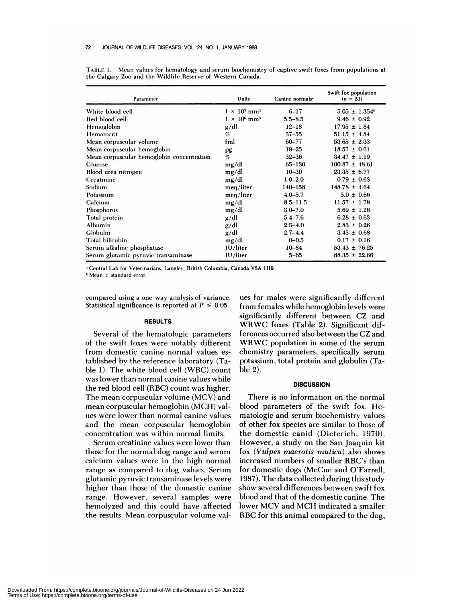| Parameter                                 | Units                           | Canine normals <sup>*</sup> | Swift fox population<br>$(n = 23)$ |
|-------------------------------------------|---------------------------------|-----------------------------|------------------------------------|
| White blood cell                          | $1 \times 10^3$ mm <sup>3</sup> | $6 - 17$                    | $5.05 \pm 1.354$ <sup>b</sup>      |
| Red blood cell                            | $1 \times 10^6$ mm <sup>3</sup> | $5.5 - 8.5$                 | $9.46 \pm 0.92$                    |
| Hemoglobin                                | g/dl                            | $12 - 18$                   | $17.95 \pm 1.84$                   |
| Hematocrit                                | %                               | $37 - 55$                   | $51.15 \pm 4.84$                   |
| Mean corpuscular volume                   | fml                             | 60-77                       | $53.65 \pm 2.33$                   |
| Mean corpuscular hemoglobin               | pg                              | $19 - 25$                   | $18.57 \pm 0.61$                   |
| Mean corpuscular hemoglobin concentration | %                               | $32 - 36$                   | $34.47 \pm 1.19$                   |
| Glucose                                   | mg/dl                           | 65-130                      | $100.87 \pm 48.61$                 |
| Blood urea nitrogen                       | mg/dl                           | $10 - 30$                   | $23.35 \pm 6.77$                   |
| Creatinine                                | mg/dl                           | $1.0 - 2.0$                 | $0.79 \pm 0.63$                    |
| Sodium                                    | meg/liter                       | $140 - 158$                 | $148.78 \pm 4.64$                  |
| Potassium                                 | meg/liter                       | $4.0 - 5.7$                 | $5.0 \pm 0.66$                     |
| Calcium                                   | mg/dl                           | $8.5 - 11.5$                | $11.57 \pm 1.78$                   |
| Phosphorus                                | mg/dl                           | $3.0 - 7.0$                 | $5.69 \pm 1.26$                    |
| Total protein                             | g/dl                            | $5.4 - 7.6$                 | $6.28 \pm 0.63$                    |
| Albumin                                   | g/dl                            | $2.3 - 4.0$                 | $2.83 \pm 0.26$                    |
| Globulin                                  | g/dl                            | $2.7 - 4.4$                 | $3.45 \pm 0.68$                    |
| Total bilirubin                           | mg/dl                           | $0 - 0.5$                   | $0.17 \pm 0.16$                    |
| Serum alkaline phosphatase                | IU/liter                        | $10 - 84$                   | $53.43 \pm 76.25$                  |
| Serum glutamic pyruvic transaminase       | IU/liter                        | $5 - 65$                    | $88.35 \pm 22.66$                  |

TABLE 1. Mean values for hematology and serum biochemistry of captive swift foxes from populations at the Calgary Zoo and the Wildlife Reserve of Western Canada.

Central Lab for Veterinarians, Langley, British Columbia, Canada V3A 1H9.

Mean ± standard error.

compared using a one-way analysis of variance. Statistical significance is reported at  $P \leq 0.05$ .

#### **RESULTS**

Several of the hematologic parameters of the swift foxes were notably different from domestic canine normal values established by the reference laboratory (Table 1). The white blood cell (WBC) count was lower than normal canine values while the red blood cell (RBC) count was higher. The mean corpuscular volume (MCV) and mean corpuscular hemoglobin (MCH) val ues were lower than normal canine values and the mean corpuscular hemoglobin concentration was within normal limits.

Serum creatinine values were lower than those for the normal dog range and serum calcium values were in the high normal range as compared to dog values. Serum glutamic pyruvic transaminase levels were higher than those of the domestic canine range. However, several samples were hemolyzed and this could have affected the results. Mean corpuscular volume val-

ues for males were significantly different from females while hemoglobin levels were significantly different between CZ and WRWC foxes (Table 2). Significant differences occurred also between the CZ and WRWC population in some of the serum chemistry parameters, specifically serum potassium, total protein and globulin (Table 2).

#### **DISCUSSION**

There is no information on the normal blood parameters of the swift fox. Hematologic and serum biochemistry values of other fox species are similar to those of the domestic canid (Dieterich, 1970). However, a study on the San Joaquin kit fox *(Vulpes macrotis mutica)* also shows increased numbers of smaller RBC's than for domestic dogs (McCue and O'Farrell, 1987). The data collected during this study show several differences between swift fox blood and that of the domestic canine. The lower MCV and MCH indicated a smaller RBC for this animal compared to the dog,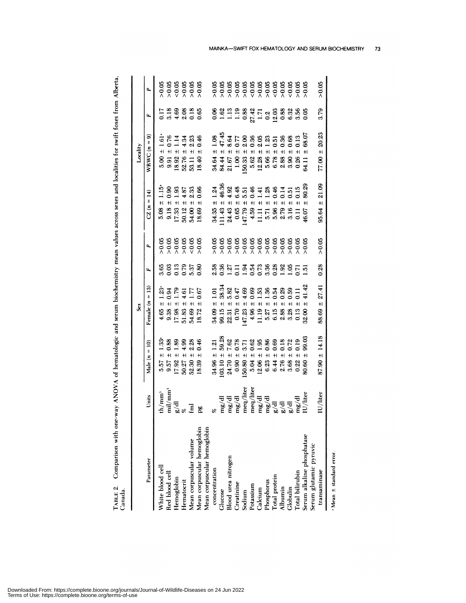TABLE 2. Comparison with one-way ANOVA of hematologic and serum biochemistry mean values across sexes and localities for swift foxes from Alberta, Canada.

|                                                                      |                                                                                                                           |                                                                                                                                                                                                                                                     | Še,                                                                                                         |                                  |        |                                                                                          | Locality                                                                                 |                 |              |
|----------------------------------------------------------------------|---------------------------------------------------------------------------------------------------------------------------|-----------------------------------------------------------------------------------------------------------------------------------------------------------------------------------------------------------------------------------------------------|-------------------------------------------------------------------------------------------------------------|----------------------------------|--------|------------------------------------------------------------------------------------------|------------------------------------------------------------------------------------------|-----------------|--------------|
| Parameter                                                            | Units                                                                                                                     | $\tilde{a}$<br>$\mathsf{I}$<br>Male (n                                                                                                                                                                                                              | Female $(n = 13)$                                                                                           | ĹL,                              | Δ,     | $\mathbf{H}$<br>$CZ(n =$                                                                 | ெ<br>WRWC $(n =$                                                                         | Ŀ,              |              |
| White blood cell<br>Red blood cell<br>Hemoglobin                     |                                                                                                                           | 1.33<br>$+1$<br>5.57                                                                                                                                                                                                                                | 1.23<br>$+1$                                                                                                |                                  |        | 1.15<br>$+$<br>5.08                                                                      | 1.61<br>$+1$                                                                             | 0.17            |              |
|                                                                      |                                                                                                                           |                                                                                                                                                                                                                                                     | $+1$                                                                                                        |                                  |        |                                                                                          | $+$                                                                                      |                 |              |
|                                                                      | th/mm <sup>3</sup><br>mil/mm <sup>3</sup><br>g/dl                                                                         | $\begin{array}{c} 0.88 \\ 1.89 \end{array}$<br>$9.57 \pm 1$<br>17.92 $\pm$                                                                                                                                                                          | $0.34$<br>$-4.61$<br>$+1$<br>$4.65$<br>$9.38$<br>$17.38$<br>$15.5$<br>$54$                                  | 882258<br>882558                 |        | 0<br>0<br>0 1 3 3<br>0 1 3 3<br>$9.18 \pm 0.133 \pm 17.33 \pm 50.12 \pm 54.00 \pm 54.00$ | $0.14388$<br>$-1.4886$<br>$+$<br>0<br>6 5 9 9 5<br>6 9 9 9 5<br>5 9 9 9                  | 3.383<br>3.4305 | 888888888888 |
| Hematocrit                                                           |                                                                                                                           | $4.99$<br>$2.28$<br>$+1$<br>50.27                                                                                                                                                                                                                   | $+1$                                                                                                        |                                  |        |                                                                                          | $+1$                                                                                     |                 |              |
| Mean corpuscular volume                                              | $\overline{\mathbf{E}}$                                                                                                   | $52.30 \pm$                                                                                                                                                                                                                                         | 1.77<br>$+1$                                                                                                |                                  |        |                                                                                          | $+1$                                                                                     |                 |              |
| Mean corpuscular hemoglobin                                          | æ                                                                                                                         | 0.46<br>$\pm$<br>18.39                                                                                                                                                                                                                              | 0.67<br>18.72                                                                                               |                                  |        | 0.66<br>$\pm$<br>18.69                                                                   | 18.40                                                                                    |                 |              |
| Mean corpuscular hemoglobin                                          |                                                                                                                           |                                                                                                                                                                                                                                                     |                                                                                                             |                                  |        |                                                                                          |                                                                                          |                 |              |
| concentration                                                        |                                                                                                                           | $\pm$<br>34.96                                                                                                                                                                                                                                      | $\Xi$<br>34.09                                                                                              |                                  |        | $\pm$                                                                                    | 1.08<br>$+1$                                                                             |                 |              |
| Glucose                                                              |                                                                                                                           | $+$<br>103.10                                                                                                                                                                                                                                       | <b>38.34</b><br>99.15                                                                                       |                                  |        | 34.35<br>111.43                                                                          | $+$<br>34.64<br>84.44                                                                    |                 |              |
| Blood urea nitrogen                                                  | mg/dl<br>mg/dl<br>mg/dl                                                                                                   | $\pm$ l<br>24.70                                                                                                                                                                                                                                    | 5.82<br>22.31                                                                                               |                                  |        | H<br>24.43                                                                               | $\pm$<br>21.67                                                                           |                 |              |
| Creatinine                                                           |                                                                                                                           | $1.21$<br>$59.28$<br>$7.62$ $8.7$ $7.62$ $8.8$ $8.6$ $8.6$ $8.6$ $8.6$ $8.6$ $8.6$ $8.6$ $8.6$ $8.6$ $8.6$ $8.6$ $8.6$ $8.6$ $8.6$ $8.6$ $8.6$ $8.6$ $8.6$ $8.6$ $8.6$ $8.6$ $8.6$ $8.6$ $8.6$ $8.6$ $8.6$ $8.6$ $8.6$ $8.6$ $8.6$<br>$\pm$<br>0.90 | $1788038730$<br>$0.4001100$<br>$0.78$ $0.33$ $0.33$ $0.33$ $0.35$ $0.33$ $0.35$ $0.33$ $0.33$ $0.33$ $0.33$ | 88651336688865<br>88613356888855 |        | $+1$<br>0.65                                                                             | 45<br>454 17 0 3 5 5 3 5 5 6 6 9<br>4 8 0 4 0 4 1 0 0 6 9 6<br>$+1$<br>$\overline{1.00}$ |                 |              |
| Sodium                                                               | neq/lite                                                                                                                  | $\pm$<br>50.80                                                                                                                                                                                                                                      | $\pm$                                                                                                       |                                  |        | $+1$<br>147.79                                                                           | $+1$<br>50.33                                                                            |                 |              |
|                                                                      | meq/liter                                                                                                                 | $+1$<br>5.04                                                                                                                                                                                                                                        | $+1$                                                                                                        |                                  |        | $+1$                                                                                     | $+1$                                                                                     |                 |              |
| Potassium<br>Calcium<br>Phosphorus                                   |                                                                                                                           | $+1$<br>12.06                                                                                                                                                                                                                                       | $+1$                                                                                                        |                                  |        | $\pm$<br>$4.59$<br>$4.178$<br>$1.178$<br>$7.879$<br>$6.11$<br>$6.01$<br>$6.11$           | $\ddot{}$                                                                                |                 |              |
|                                                                      |                                                                                                                           | $+$<br>6.23                                                                                                                                                                                                                                         | $\ddagger$                                                                                                  |                                  |        | $+1$                                                                                     |                                                                                          |                 |              |
| Total protein                                                        |                                                                                                                           | $\ddot{}$                                                                                                                                                                                                                                           |                                                                                                             |                                  |        | $+1$                                                                                     | H                                                                                        |                 |              |
|                                                                      |                                                                                                                           | $\pm$<br>6.44<br>2.76<br>3.68                                                                                                                                                                                                                       |                                                                                                             |                                  |        | $+1$                                                                                     |                                                                                          |                 |              |
|                                                                      |                                                                                                                           | $\pm$                                                                                                                                                                                                                                               | 0.59                                                                                                        |                                  |        | $+1$                                                                                     | $+1$                                                                                     |                 |              |
| Albumin<br>Globulin<br>Total bilirubin<br>Serum alkaline phosphatase | ਜ਼ਮੂਰੀ<br>ਜ਼ਿਆਰੀ<br>ਜ਼ਿਆਰੀ ਰਹਿ ਹੋ<br>ਜ਼ਿਆਰੀ ਹੋ ਹੋ ਹੋ ਹੋ ਹੋ ਹੋ ਹੋ ਹੋ ਹੋ ਹੈ।<br>ਜ਼ਿਆਰੀ ਹੋ ਹੋ ਹੋ ਹੋ ਹੋ ਹੋ ਹੋ ਹੋ ਹੋ ਹੋ ਹੋ ਹੈ। | 0.19<br>$\pm$<br>0.22                                                                                                                                                                                                                               | $\ddot{}$                                                                                                   |                                  |        | $\pm$                                                                                    | 0.13<br>$+1$<br>0<br>10 20 30 30 30 31<br>10 31 31 31 31 31 31 31 31 31 31 32 33 4       |                 |              |
|                                                                      |                                                                                                                           | 99.03<br>$\pm$<br>80.60                                                                                                                                                                                                                             | $\ddagger$<br>32.00                                                                                         | ë                                |        | 80.29<br>$\ddot{}$<br>16.07                                                              | 68.07                                                                                    |                 |              |
| Serum glutamic pyruvic                                               |                                                                                                                           |                                                                                                                                                                                                                                                     |                                                                                                             |                                  |        |                                                                                          |                                                                                          |                 |              |
| transaminase                                                         | $U/$ liter                                                                                                                | 14.18<br>$+1$<br>87.90                                                                                                                                                                                                                              | 27.41<br>H<br>88.69                                                                                         | 0.28                             | > 0.05 | 21.09<br>$\pm$<br>95.64                                                                  | 20.23<br>$\pm$<br>77.00                                                                  | 3.79            | > 0.05       |
|                                                                      |                                                                                                                           |                                                                                                                                                                                                                                                     |                                                                                                             |                                  |        |                                                                                          |                                                                                          |                 |              |

 $•$  Mean  $±$  standard error.